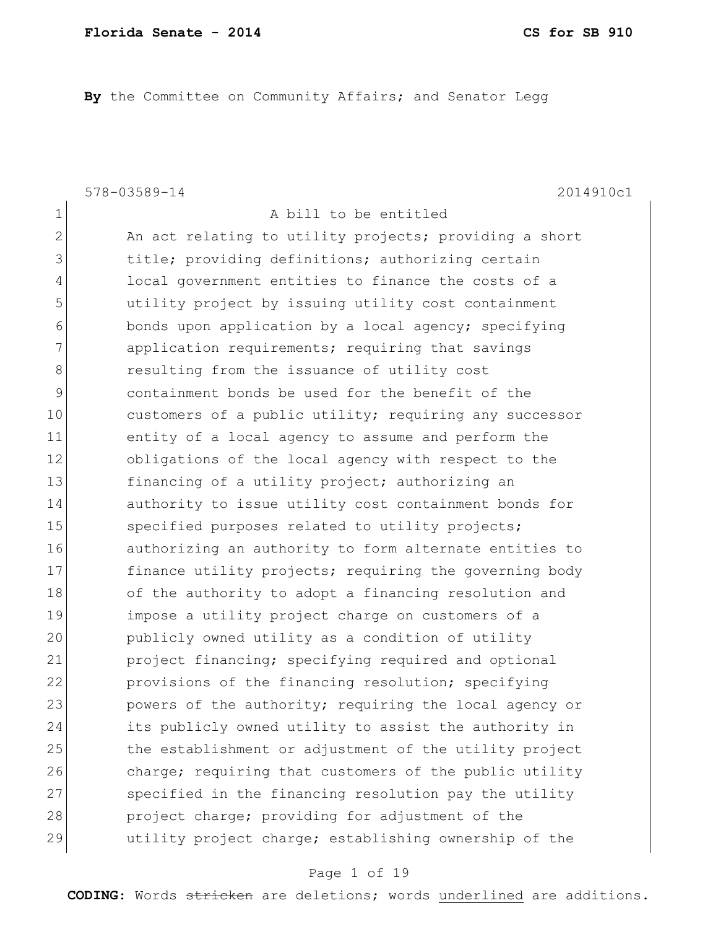**By** the Committee on Community Affairs; and Senator Legg

578-03589-14 2014910c1

1 a bill to be entitled 2 An act relating to utility projects; providing a short 3 1 12 title; providing definitions; authorizing certain

4 local government entities to finance the costs of a 5 5 butility project by issuing utility cost containment 6 bonds upon application by a local agency; specifying 7 application requirements; requiring that savings 8 8 8 8 resulting from the issuance of utility cost 9 containment bonds be used for the benefit of the 10 customers of a public utility; requiring any successor 11 entity of a local agency to assume and perform the 12 obligations of the local agency with respect to the 13 financing of a utility project; authorizing an 14 authority to issue utility cost containment bonds for 15 Specified purposes related to utility projects; 16 authorizing an authority to form alternate entities to 17 finance utility projects; requiring the governing body 18 of the authority to adopt a financing resolution and 19 impose a utility project charge on customers of a 20 publicly owned utility as a condition of utility 21 project financing; specifying required and optional 22 provisions of the financing resolution; specifying 23 powers of the authority; requiring the local agency or 24 its publicly owned utility to assist the authority in 25 the establishment or adjustment of the utility project 26 charge; requiring that customers of the public utility 27 Specified in the financing resolution pay the utility 28 project charge; providing for adjustment of the 29 and utility project charge; establishing ownership of the

#### Page 1 of 19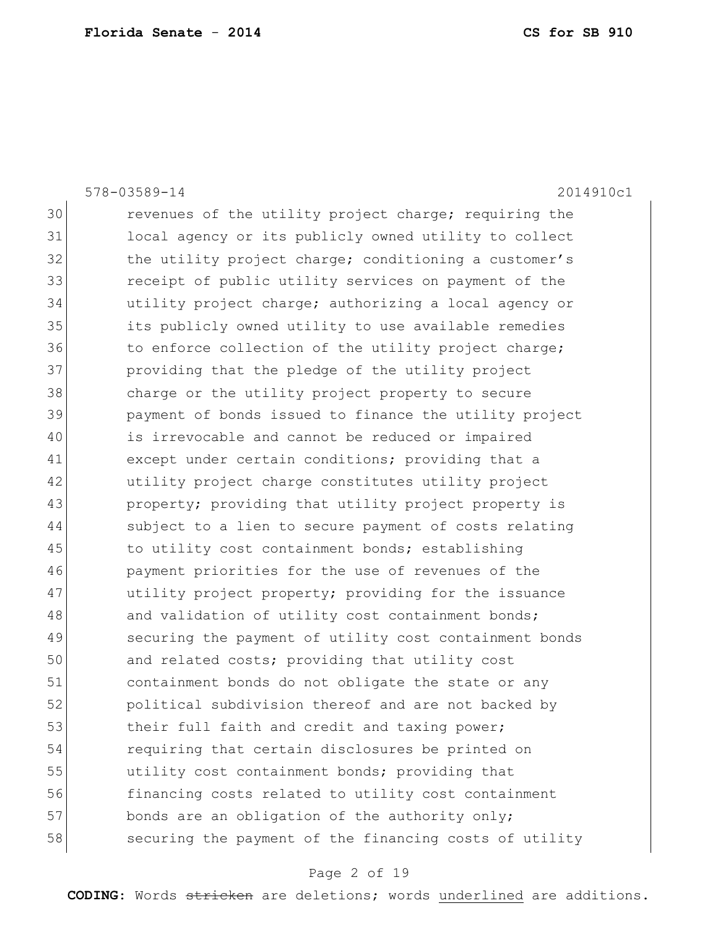|    | 2014910c1<br>578-03589-14                              |
|----|--------------------------------------------------------|
| 30 | revenues of the utility project charge; requiring the  |
| 31 | local agency or its publicly owned utility to collect  |
| 32 | the utility project charge; conditioning a customer's  |
| 33 | receipt of public utility services on payment of the   |
| 34 | utility project charge; authorizing a local agency or  |
| 35 | its publicly owned utility to use available remedies   |
| 36 | to enforce collection of the utility project charge;   |
| 37 | providing that the pledge of the utility project       |
| 38 | charge or the utility project property to secure       |
| 39 | payment of bonds issued to finance the utility project |
| 40 | is irrevocable and cannot be reduced or impaired       |
| 41 | except under certain conditions; providing that a      |
| 42 | utility project charge constitutes utility project     |
| 43 | property; providing that utility project property is   |
| 44 | subject to a lien to secure payment of costs relating  |
| 45 | to utility cost containment bonds; establishing        |
| 46 | payment priorities for the use of revenues of the      |
| 47 | utility project property; providing for the issuance   |
| 48 | and validation of utility cost containment bonds;      |
| 49 | securing the payment of utility cost containment bonds |
| 50 | and related costs; providing that utility cost         |
| 51 | containment bonds do not obligate the state or any     |
| 52 | political subdivision thereof and are not backed by    |
| 53 | their full faith and credit and taxing power;          |
| 54 | requiring that certain disclosures be printed on       |
| 55 | utility cost containment bonds; providing that         |
| 56 | financing costs related to utility cost containment    |
| 57 | bonds are an obligation of the authority only;         |
| 58 | securing the payment of the financing costs of utility |

# Page 2 of 19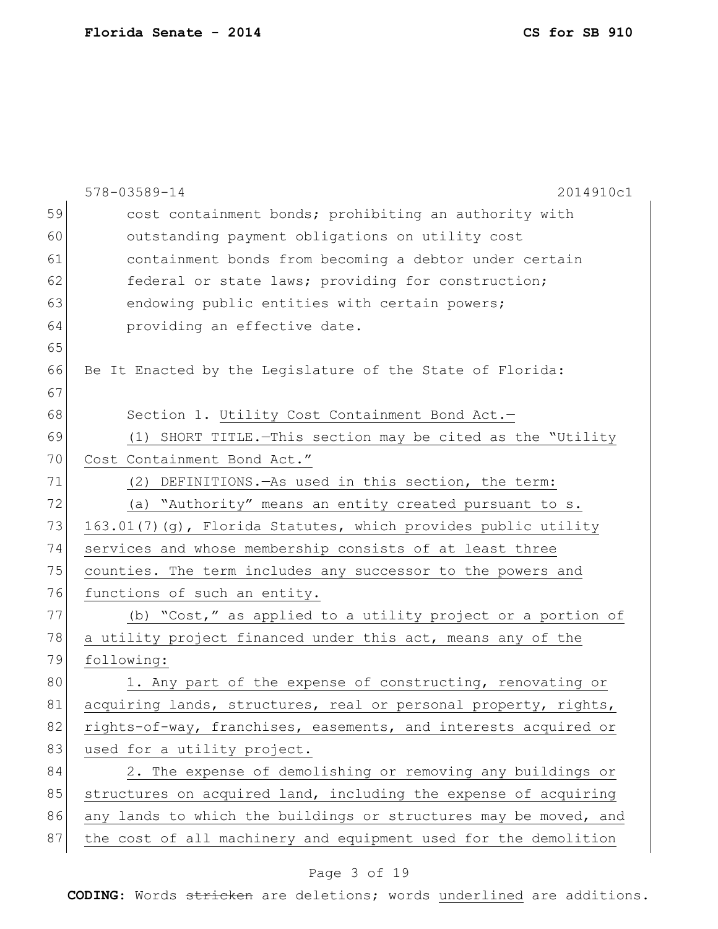|    | 578-03589-14<br>2014910c1                                        |
|----|------------------------------------------------------------------|
| 59 | cost containment bonds; prohibiting an authority with            |
| 60 | outstanding payment obligations on utility cost                  |
| 61 | containment bonds from becoming a debtor under certain           |
| 62 | federal or state laws; providing for construction;               |
| 63 | endowing public entities with certain powers;                    |
| 64 | providing an effective date.                                     |
| 65 |                                                                  |
| 66 | Be It Enacted by the Legislature of the State of Florida:        |
| 67 |                                                                  |
| 68 | Section 1. Utility Cost Containment Bond Act.-                   |
| 69 | (1) SHORT TITLE. - This section may be cited as the "Utility     |
| 70 | Cost Containment Bond Act."                                      |
| 71 | DEFINITIONS.-As used in this section, the term:<br>(2)           |
| 72 | (a) "Authority" means an entity created pursuant to s.           |
| 73 | 163.01(7)(g), Florida Statutes, which provides public utility    |
| 74 | services and whose membership consists of at least three         |
| 75 | counties. The term includes any successor to the powers and      |
| 76 | functions of such an entity.                                     |
| 77 | (b) "Cost," as applied to a utility project or a portion of      |
| 78 | a utility project financed under this act, means any of the      |
| 79 | following:                                                       |
| 80 | 1. Any part of the expense of constructing, renovating or        |
| 81 | acquiring lands, structures, real or personal property, rights,  |
| 82 | rights-of-way, franchises, easements, and interests acquired or  |
| 83 | used for a utility project.                                      |
| 84 | 2. The expense of demolishing or removing any buildings or       |
| 85 | structures on acquired land, including the expense of acquiring  |
| 86 | any lands to which the buildings or structures may be moved, and |
| 87 | the cost of all machinery and equipment used for the demolition  |
|    |                                                                  |

# Page 3 of 19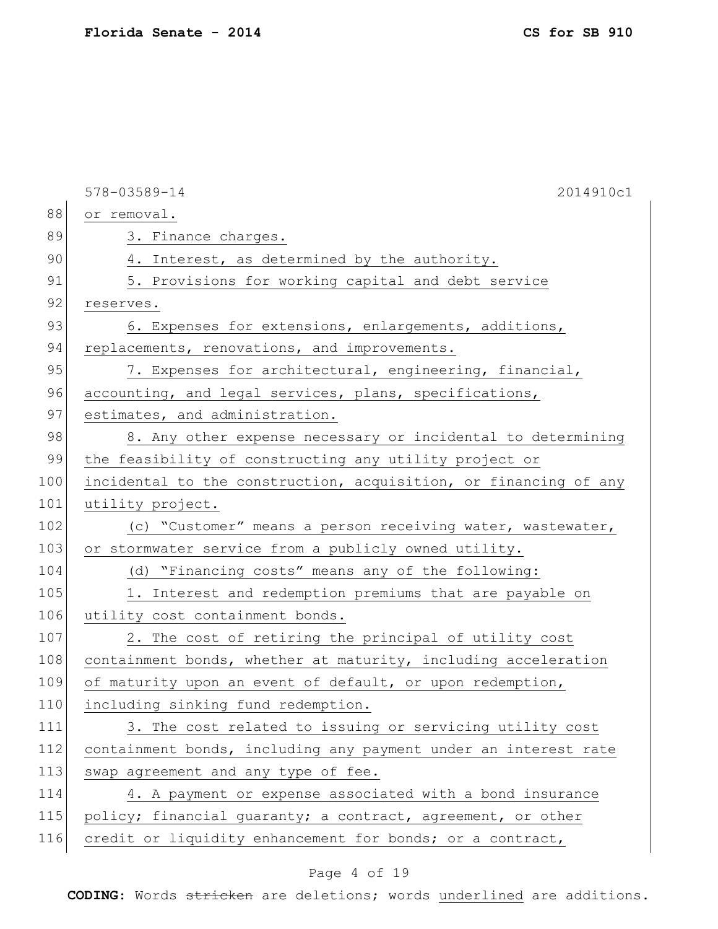| 2014910c1<br>578-03589-14                                             |
|-----------------------------------------------------------------------|
| or removal.                                                           |
| 3. Finance charges.                                                   |
| 4. Interest, as determined by the authority.                          |
| 5. Provisions for working capital and debt service                    |
| reserves.                                                             |
| 6. Expenses for extensions, enlargements, additions,                  |
| replacements, renovations, and improvements.                          |
| 7. Expenses for architectural, engineering, financial,                |
| accounting, and legal services, plans, specifications,                |
| estimates, and administration.                                        |
| 8. Any other expense necessary or incidental to determining           |
| the feasibility of constructing any utility project or                |
| incidental to the construction, acquisition, or financing of any      |
| utility project.                                                      |
| (c) "Customer" means a person receiving water, wastewater,            |
| or stormwater service from a publicly owned utility.                  |
| (d) "Financing costs" means any of the following:                     |
| 1. Interest and redemption premiums that are payable on               |
| utility cost containment bonds.                                       |
| 2. The cost of retiring the principal of utility cost                 |
| 108<br>containment bonds, whether at maturity, including acceleration |
| of maturity upon an event of default, or upon redemption,             |
| 110<br>including sinking fund redemption.                             |
| 3. The cost related to issuing or servicing utility cost              |
| containment bonds, including any payment under an interest rate       |
| swap agreement and any type of fee.                                   |
| 4. A payment or expense associated with a bond insurance              |
| policy; financial guaranty; a contract, agreement, or other           |
| credit or liquidity enhancement for bonds; or a contract,             |
|                                                                       |

# Page 4 of 19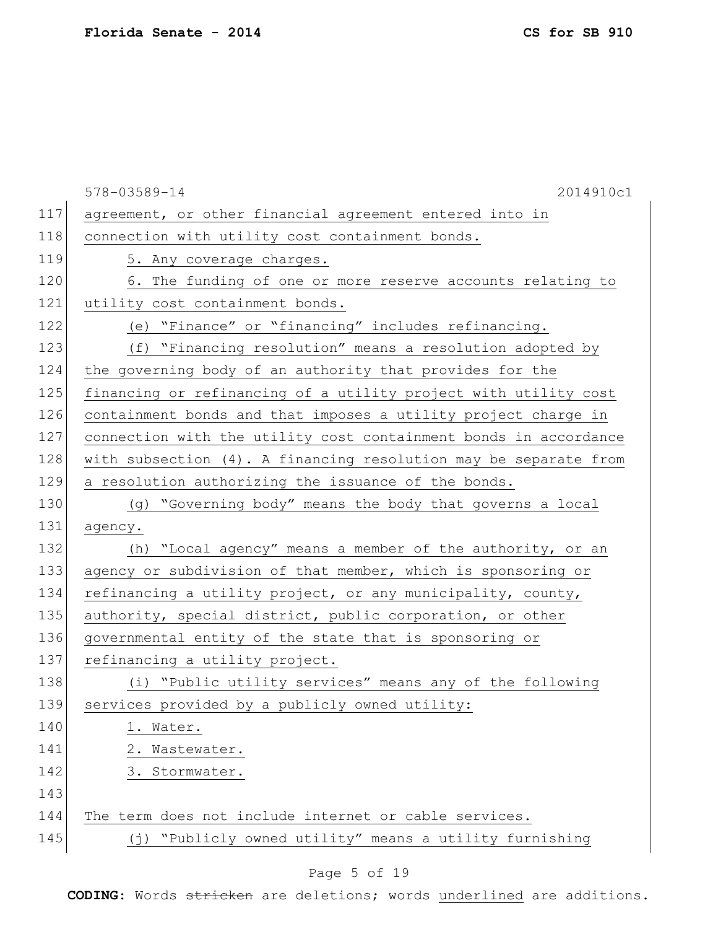|     | 578-03589-14<br>2014910c1                                          |
|-----|--------------------------------------------------------------------|
| 117 | agreement, or other financial agreement entered into in            |
| 118 | connection with utility cost containment bonds.                    |
| 119 | 5. Any coverage charges.                                           |
| 120 | 6. The funding of one or more reserve accounts relating to         |
| 121 | utility cost containment bonds.                                    |
| 122 | (e) "Finance" or "financing" includes refinancing.                 |
| 123 | (f) "Financing resolution" means a resolution adopted by           |
| 124 | the governing body of an authority that provides for the           |
| 125 | financing or refinancing of a utility project with utility cost    |
| 126 | containment bonds and that imposes a utility project charge in     |
| 127 | connection with the utility cost containment bonds in accordance   |
| 128 | with subsection (4). A financing resolution may be separate from   |
| 129 | a resolution authorizing the issuance of the bonds.                |
| 130 | (g) "Governing body" means the body that governs a local           |
| 131 | agency.                                                            |
| 132 | (h) "Local agency" means a member of the authority, or an          |
| 133 | agency or subdivision of that member, which is sponsoring or       |
| 134 | refinancing a utility project, or any municipality, county,        |
| 135 | authority, special district, public corporation, or other          |
| 136 | governmental entity of the state that is sponsoring or             |
| 137 | refinancing a utility project.                                     |
| 138 | (i) "Public utility services" means any of the following           |
| 139 | services provided by a publicly owned utility:                     |
| 140 | 1. Water.                                                          |
| 141 | 2. Wastewater.                                                     |
| 142 | 3. Stormwater.                                                     |
| 143 |                                                                    |
| 144 | The term does not include internet or cable services.              |
| 145 | "Publicly owned utility" means a utility furnishing<br>$(\dagger)$ |

# Page 5 of 19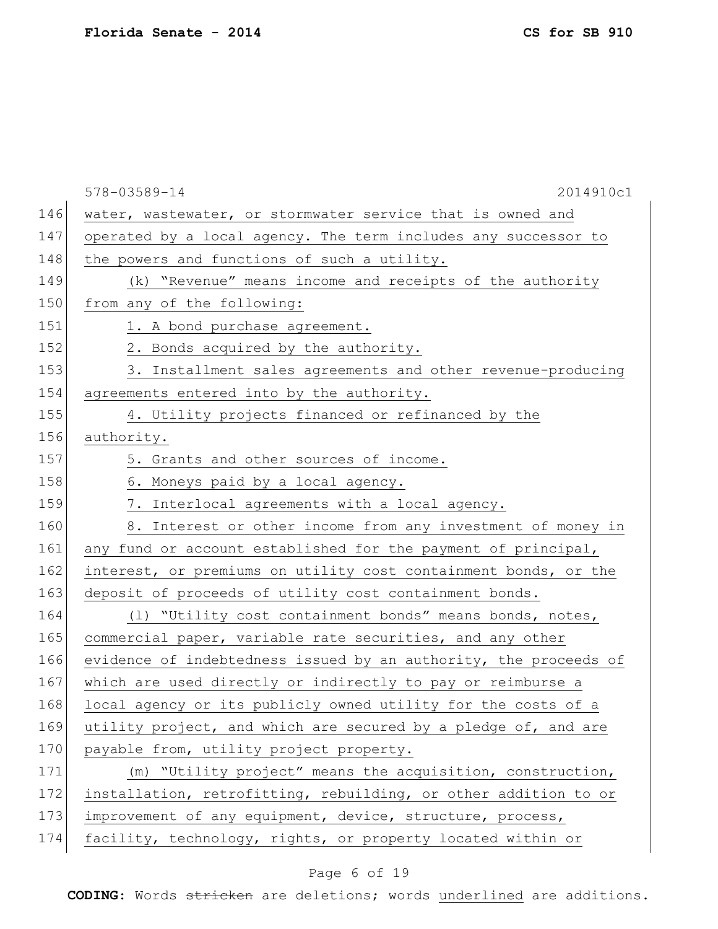|     | 578-03589-14<br>2014910c1                                        |
|-----|------------------------------------------------------------------|
| 146 | water, wastewater, or stormwater service that is owned and       |
| 147 | operated by a local agency. The term includes any successor to   |
| 148 | the powers and functions of such a utility.                      |
| 149 | (k) "Revenue" means income and receipts of the authority         |
| 150 | from any of the following:                                       |
| 151 | 1. A bond purchase agreement.                                    |
| 152 | 2. Bonds acquired by the authority.                              |
| 153 | 3. Installment sales agreements and other revenue-producing      |
| 154 | agreements entered into by the authority.                        |
| 155 | 4. Utility projects financed or refinanced by the                |
| 156 | authority.                                                       |
| 157 | 5. Grants and other sources of income.                           |
| 158 | 6. Moneys paid by a local agency.                                |
| 159 | 7. Interlocal agreements with a local agency.                    |
| 160 | 8. Interest or other income from any investment of money in      |
| 161 | any fund or account established for the payment of principal,    |
| 162 | interest, or premiums on utility cost containment bonds, or the  |
| 163 | deposit of proceeds of utility cost containment bonds.           |
| 164 | (1) "Utility cost containment bonds" means bonds, notes,         |
| 165 | commercial paper, variable rate securities, and any other        |
| 166 | evidence of indebtedness issued by an authority, the proceeds of |
| 167 | which are used directly or indirectly to pay or reimburse a      |
| 168 | local agency or its publicly owned utility for the costs of a    |
| 169 | utility project, and which are secured by a pledge of, and are   |
| 170 | payable from, utility project property.                          |
| 171 | (m) "Utility project" means the acquisition, construction,       |
| 172 | installation, retrofitting, rebuilding, or other addition to or  |
| 173 | improvement of any equipment, device, structure, process,        |
| 174 | facility, technology, rights, or property located within or      |

# Page 6 of 19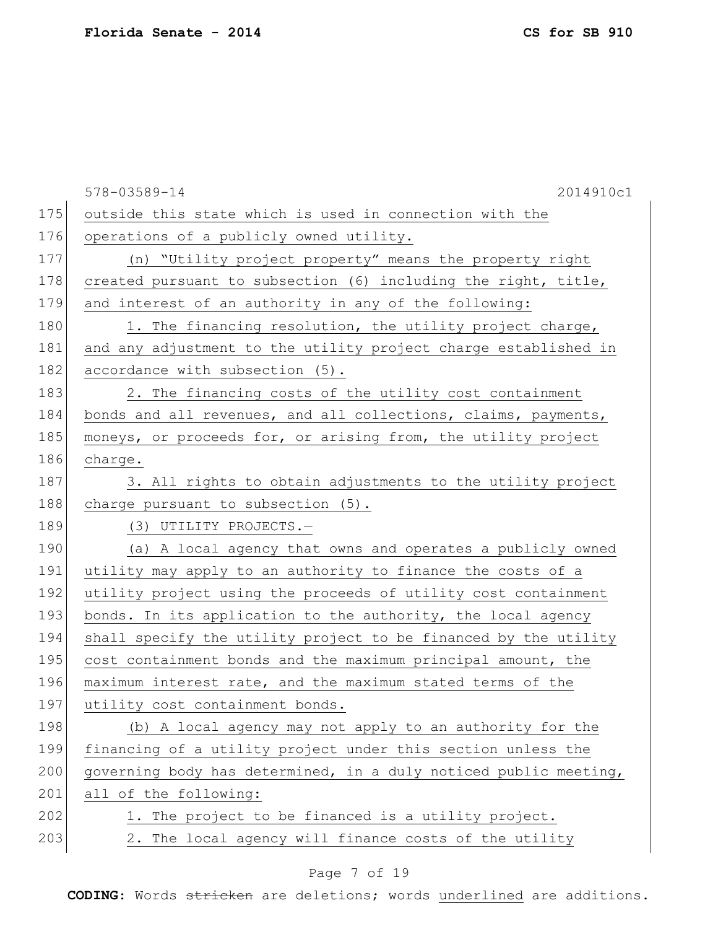578-03589-14 2014910c1 175 outside this state which is used in connection with the 176 operations of a publicly owned utility. 177 (n) "Utility project property" means the property right 178 created pursuant to subsection (6) including the right, title, 179 and interest of an authority in any of the following: 180 1. The financing resolution, the utility project charge, 181 and any adjustment to the utility project charge established in 182 accordance with subsection (5). 183 2. The financing costs of the utility cost containment 184 bonds and all revenues, and all collections, claims, payments, 185 moneys, or proceeds for, or arising from, the utility project 186 charge. 187 3. All rights to obtain adjustments to the utility project 188 charge pursuant to subsection (5). 189 (3) UTILITY PROJECTS. 190 (a) A local agency that owns and operates a publicly owned 191 utility may apply to an authority to finance the costs of a 192 utility project using the proceeds of utility cost containment 193 bonds. In its application to the authority, the local agency 194 shall specify the utility project to be financed by the utility 195 cost containment bonds and the maximum principal amount, the 196 maximum interest rate, and the maximum stated terms of the 197 utility cost containment bonds. 198 (b) A local agency may not apply to an authority for the 199 financing of a utility project under this section unless the 200 governing body has determined, in a duly noticed public meeting, 201 all of the following: 202 1. The project to be financed is a utility project. 203 2. The local agency will finance costs of the utility

### Page 7 of 19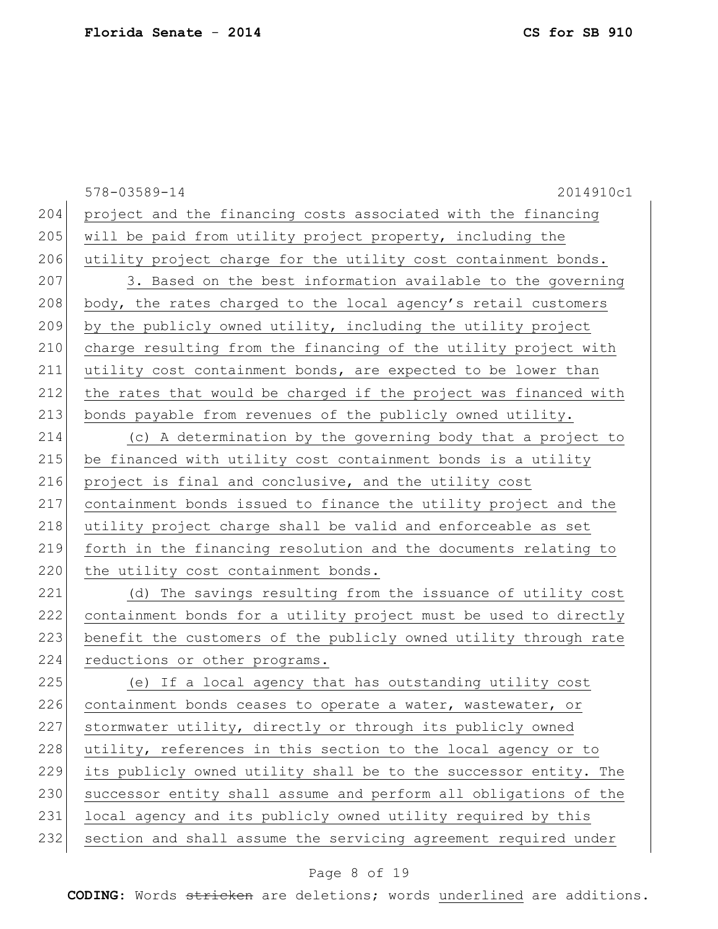578-03589-14 2014910c1 204 project and the financing costs associated with the financing 205 will be paid from utility project property, including the 206 utility project charge for the utility cost containment bonds. 207 3. Based on the best information available to the governing 208 body, the rates charged to the local agency's retail customers 209 by the publicly owned utility, including the utility project 210 charge resulting from the financing of the utility project with 211 utility cost containment bonds, are expected to be lower than 212 the rates that would be charged if the project was financed with 213 bonds payable from revenues of the publicly owned utility. 214 (c) A determination by the governing body that a project to 215 be financed with utility cost containment bonds is a utility 216 project is final and conclusive, and the utility cost 217 containment bonds issued to finance the utility project and the 218 utility project charge shall be valid and enforceable as set 219 forth in the financing resolution and the documents relating to 220 the utility cost containment bonds. 221 (d) The savings resulting from the issuance of utility cost 222 containment bonds for a utility project must be used to directly 223 benefit the customers of the publicly owned utility through rate 224 reductions or other programs. 225 (e) If a local agency that has outstanding utility cost 226 containment bonds ceases to operate a water, wastewater, or 227 stormwater utility, directly or through its publicly owned 228 utility, references in this section to the local agency or to 229 its publicly owned utility shall be to the successor entity. The 230 successor entity shall assume and perform all obligations of the 231 local agency and its publicly owned utility required by this 232 section and shall assume the servicing agreement required under

#### Page 8 of 19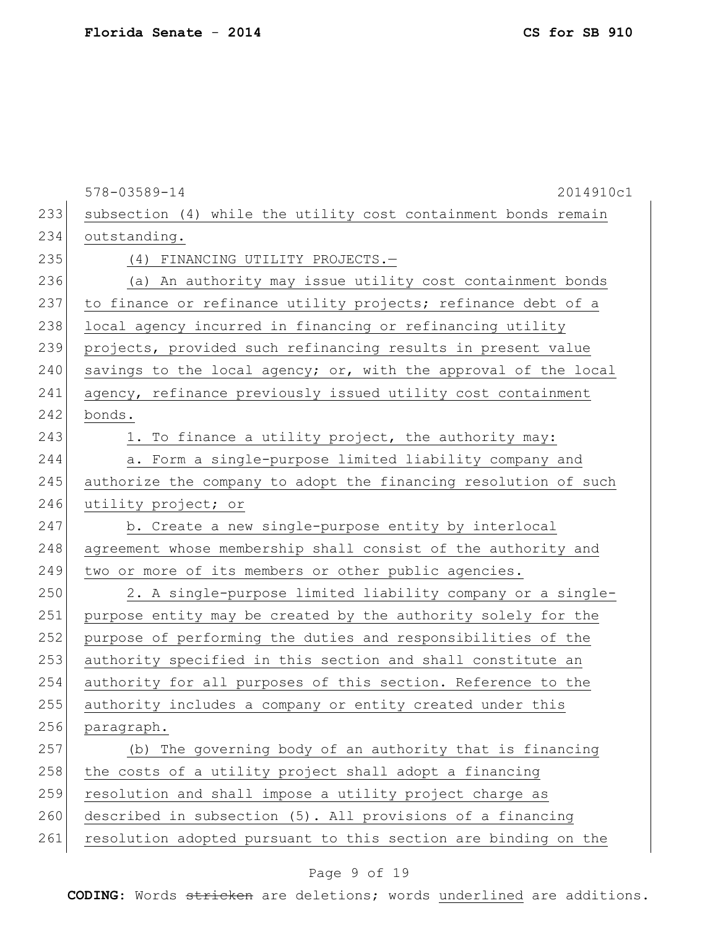578-03589-14 2014910c1 233 | subsection (4) while the utility cost containment bonds remain 234 outstanding. 235 (4) FINANCING UTILITY PROJECTS. 236 (a) An authority may issue utility cost containment bonds 237 to finance or refinance utility projects; refinance debt of a 238 local agency incurred in financing or refinancing utility 239 projects, provided such refinancing results in present value 240 savings to the local agency; or, with the approval of the local 241 agency, refinance previously issued utility cost containment 242 bonds. 243 1. To finance a utility project, the authority may: 244 a. Form a single-purpose limited liability company and 245 authorize the company to adopt the financing resolution of such 246 utility project; or 247 b. Create a new single-purpose entity by interlocal 248 agreement whose membership shall consist of the authority and 249 two or more of its members or other public agencies. 250 2. A single-purpose limited liability company or a single-251 purpose entity may be created by the authority solely for the 252 purpose of performing the duties and responsibilities of the 253 authority specified in this section and shall constitute an 254 authority for all purposes of this section. Reference to the 255 authority includes a company or entity created under this 256 paragraph. 257 (b) The governing body of an authority that is financing 258 the costs of a utility project shall adopt a financing 259 resolution and shall impose a utility project charge as 260 described in subsection (5). All provisions of a financing 261 resolution adopted pursuant to this section are binding on the

#### Page 9 of 19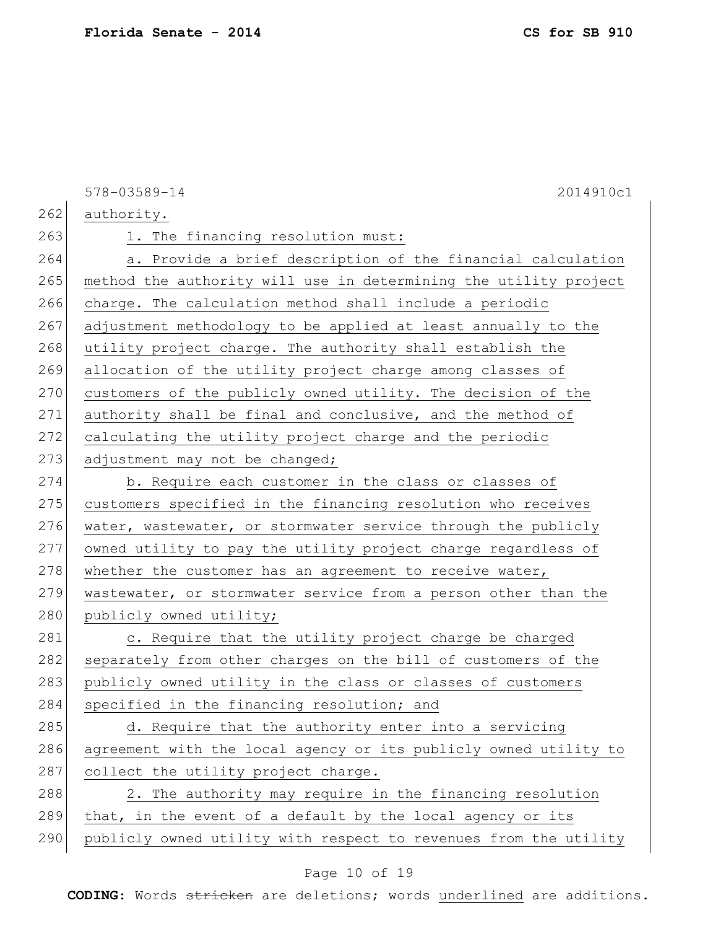578-03589-14 2014910c1 262 authority. 263 1. The financing resolution must: 264 a. Provide a brief description of the financial calculation 265 method the authority will use in determining the utility project 266 charge. The calculation method shall include a periodic 267 adjustment methodology to be applied at least annually to the 268 utility project charge. The authority shall establish the 269 allocation of the utility project charge among classes of 270 customers of the publicly owned utility. The decision of the 271 authority shall be final and conclusive, and the method of 272 calculating the utility project charge and the periodic  $273$  adjustment may not be changed; 274 b. Require each customer in the class or classes of 275 customers specified in the financing resolution who receives 276 water, wastewater, or stormwater service through the publicly 277 owned utility to pay the utility project charge regardless of  $278$  whether the customer has an agreement to receive water, 279 wastewater, or stormwater service from a person other than the 280 publicly owned utility; 281 c. Require that the utility project charge be charged 282 separately from other charges on the bill of customers of the 283 publicly owned utility in the class or classes of customers 284 specified in the financing resolution; and 285 d. Require that the authority enter into a servicing 286 agreement with the local agency or its publicly owned utility to 287 collect the utility project charge.  $288$  2. The authority may require in the financing resolution  $289$  that, in the event of a default by the local agency or its 290 publicly owned utility with respect to revenues from the utility

#### Page 10 of 19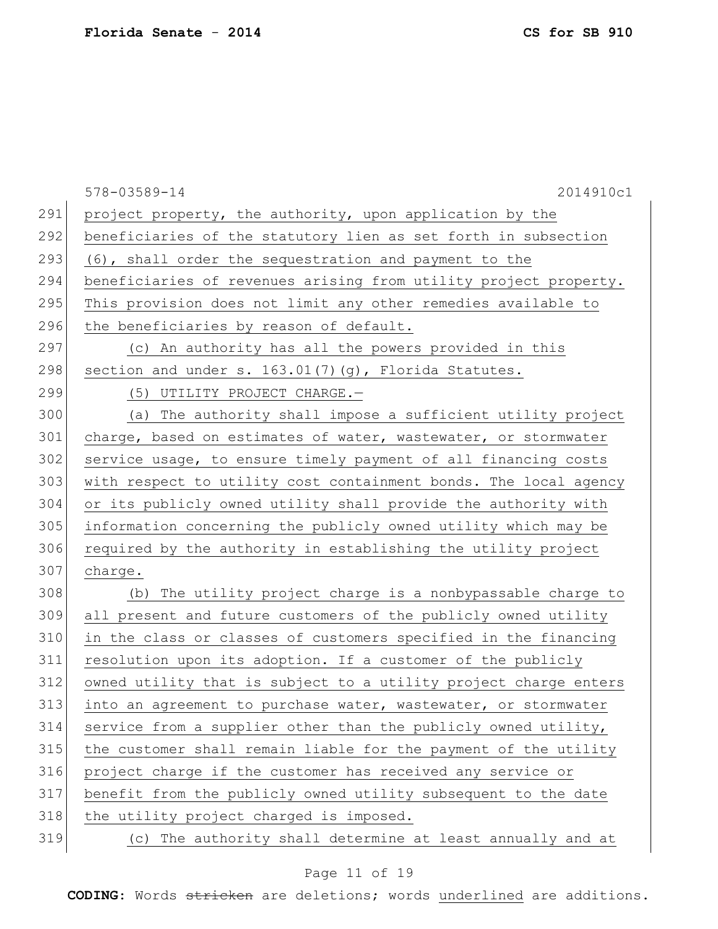|     | 2014910c1<br>578-03589-14                                        |
|-----|------------------------------------------------------------------|
| 291 | project property, the authority, upon application by the         |
| 292 | beneficiaries of the statutory lien as set forth in subsection   |
| 293 | (6), shall order the sequestration and payment to the            |
| 294 | beneficiaries of revenues arising from utility project property. |
| 295 | This provision does not limit any other remedies available to    |
| 296 | the beneficiaries by reason of default.                          |
| 297 | (c) An authority has all the powers provided in this             |
| 298 | section and under s. 163.01(7)(g), Florida Statutes.             |
| 299 | (5) UTILITY PROJECT CHARGE.-                                     |
| 300 | (a) The authority shall impose a sufficient utility project      |
| 301 | charge, based on estimates of water, wastewater, or stormwater   |
| 302 | service usage, to ensure timely payment of all financing costs   |
| 303 | with respect to utility cost containment bonds. The local agency |
| 304 | or its publicly owned utility shall provide the authority with   |
| 305 | information concerning the publicly owned utility which may be   |
| 306 | required by the authority in establishing the utility project    |
| 307 | charge.                                                          |
| 308 | (b) The utility project charge is a nonbypassable charge to      |
| 309 | all present and future customers of the publicly owned utility   |
| 310 | in the class or classes of customers specified in the financing  |
| 311 | resolution upon its adoption. If a customer of the publicly      |
| 312 | owned utility that is subject to a utility project charge enters |
| 313 | into an agreement to purchase water, wastewater, or stormwater   |
| 314 | service from a supplier other than the publicly owned utility,   |
| 315 | the customer shall remain liable for the payment of the utility  |
| 316 | project charge if the customer has received any service or       |
| 317 | benefit from the publicly owned utility subsequent to the date   |
| 318 | the utility project charged is imposed.                          |
| 319 | (c) The authority shall determine at least annually and at       |

# Page 11 of 19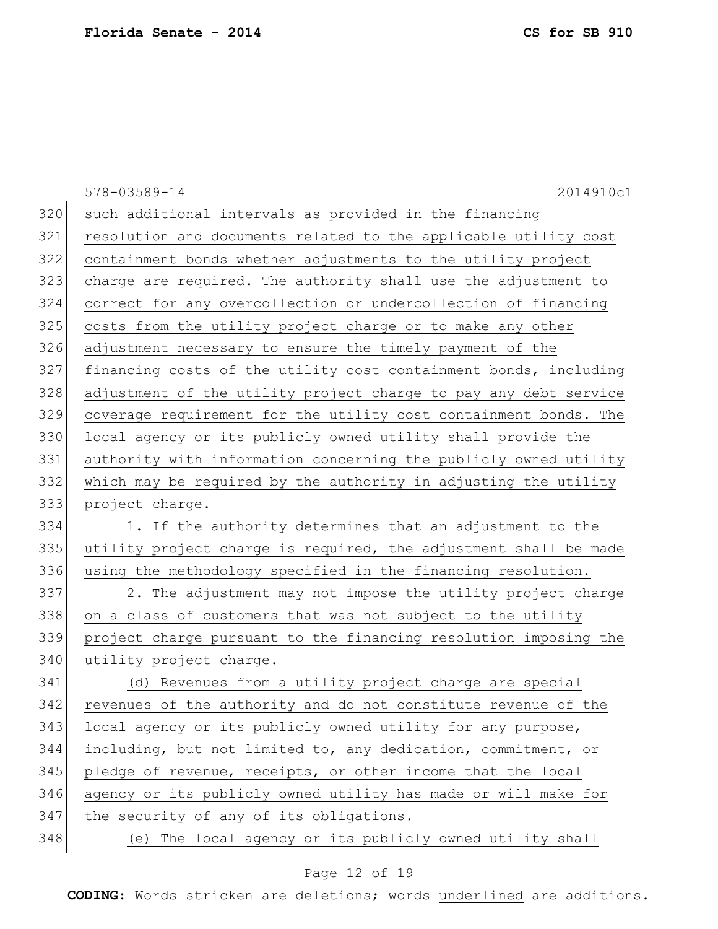|     | 578-03589-14<br>2014910c1                                        |
|-----|------------------------------------------------------------------|
| 320 | such additional intervals as provided in the financing           |
| 321 | resolution and documents related to the applicable utility cost  |
| 322 | containment bonds whether adjustments to the utility project     |
| 323 | charge are required. The authority shall use the adjustment to   |
| 324 | correct for any overcollection or undercollection of financing   |
| 325 | costs from the utility project charge or to make any other       |
| 326 | adjustment necessary to ensure the timely payment of the         |
| 327 | financing costs of the utility cost containment bonds, including |
| 328 | adjustment of the utility project charge to pay any debt service |
| 329 | coverage requirement for the utility cost containment bonds. The |
| 330 | local agency or its publicly owned utility shall provide the     |
| 331 | authority with information concerning the publicly owned utility |
| 332 | which may be required by the authority in adjusting the utility  |
| 333 | project charge.                                                  |
| 334 | 1. If the authority determines that an adjustment to the         |
| 335 | utility project charge is required, the adjustment shall be made |
| 336 | using the methodology specified in the financing resolution.     |
| 337 | 2. The adjustment may not impose the utility project charge      |
| 338 | on a class of customers that was not subject to the utility      |
| 339 | project charge pursuant to the financing resolution imposing the |
| 340 | utility project charge.                                          |
| 341 | (d) Revenues from a utility project charge are special           |
| 342 | revenues of the authority and do not constitute revenue of the   |
| 343 | local agency or its publicly owned utility for any purpose,      |
| 344 | including, but not limited to, any dedication, commitment, or    |
| 345 | pledge of revenue, receipts, or other income that the local      |
| 346 | agency or its publicly owned utility has made or will make for   |
| 347 | the security of any of its obligations.                          |
| 348 | (e) The local agency or its publicly owned utility shall         |

# Page 12 of 19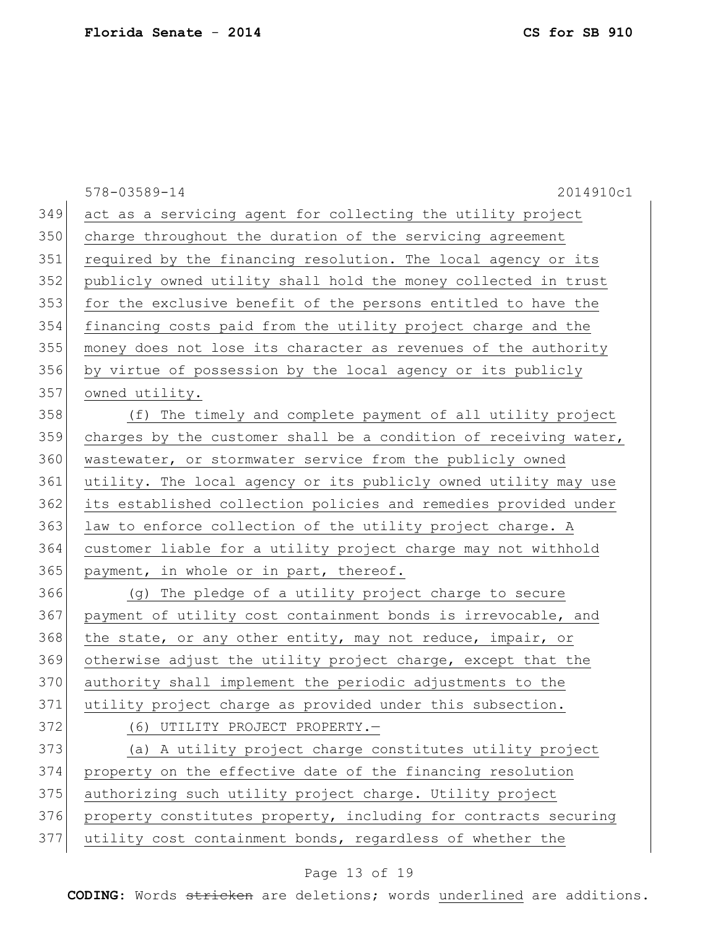578-03589-14 2014910c1 act as a servicing agent for collecting the utility project charge throughout the duration of the servicing agreement required by the financing resolution. The local agency or its publicly owned utility shall hold the money collected in trust 353 for the exclusive benefit of the persons entitled to have the financing costs paid from the utility project charge and the money does not lose its character as revenues of the authority by virtue of possession by the local agency or its publicly owned utility. (f) The timely and complete payment of all utility project 359 charges by the customer shall be a condition of receiving water, 360 wastewater, or stormwater service from the publicly owned utility. The local agency or its publicly owned utility may use its established collection policies and remedies provided under 363 law to enforce collection of the utility project charge. A customer liable for a utility project charge may not withhold 365 payment, in whole or in part, thereof. (g) The pledge of a utility project charge to secure payment of utility cost containment bonds is irrevocable, and 368 the state, or any other entity, may not reduce, impair, or otherwise adjust the utility project charge, except that the authority shall implement the periodic adjustments to the 371 utility project charge as provided under this subsection. 372 (6) UTILITY PROJECT PROPERTY. (a) A utility project charge constitutes utility project property on the effective date of the financing resolution 375 authorizing such utility project charge. Utility project 376 property constitutes property, including for contracts securing utility cost containment bonds, regardless of whether the

#### Page 13 of 19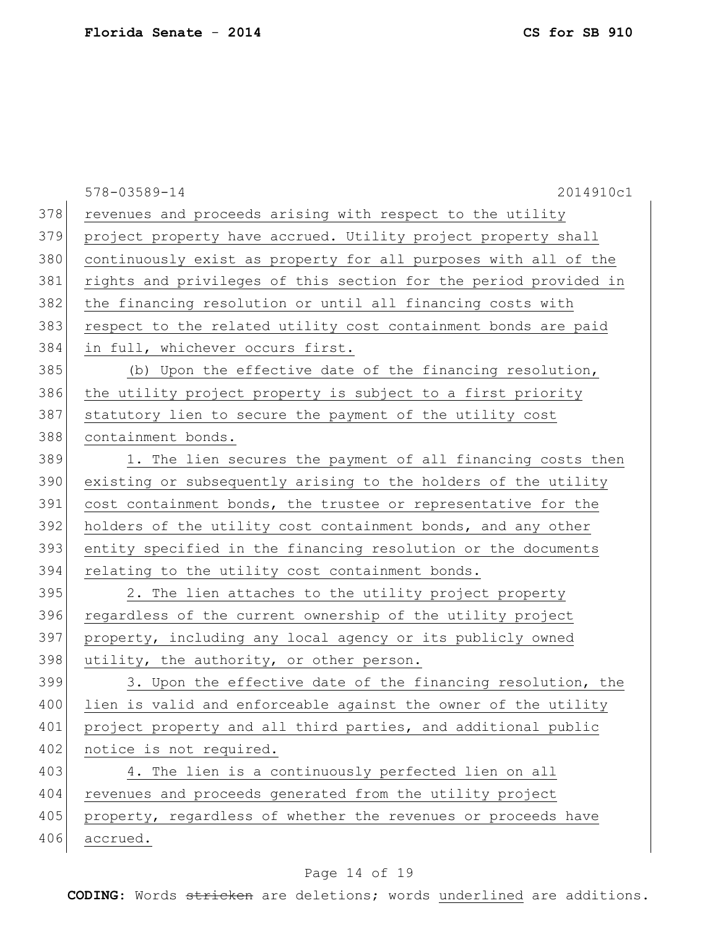|     | 2014910c1<br>578-03589-14                                        |
|-----|------------------------------------------------------------------|
| 378 | revenues and proceeds arising with respect to the utility        |
| 379 | project property have accrued. Utility project property shall    |
| 380 | continuously exist as property for all purposes with all of the  |
| 381 | rights and privileges of this section for the period provided in |
| 382 | the financing resolution or until all financing costs with       |
| 383 | respect to the related utility cost containment bonds are paid   |
| 384 | in full, whichever occurs first.                                 |
| 385 | (b) Upon the effective date of the financing resolution,         |
| 386 | the utility project property is subject to a first priority      |
| 387 | statutory lien to secure the payment of the utility cost         |
| 388 | containment bonds.                                               |
| 389 | 1. The lien secures the payment of all financing costs then      |
| 390 | existing or subsequently arising to the holders of the utility   |
| 391 | cost containment bonds, the trustee or representative for the    |
| 392 | holders of the utility cost containment bonds, and any other     |
| 393 | entity specified in the financing resolution or the documents    |
| 394 | relating to the utility cost containment bonds.                  |
| 395 | 2. The lien attaches to the utility project property             |
| 396 | regardless of the current ownership of the utility project       |
| 397 | property, including any local agency or its publicly owned       |
| 398 | utility, the authority, or other person.                         |
| 399 | 3. Upon the effective date of the financing resolution, the      |
| 400 | lien is valid and enforceable against the owner of the utility   |
| 401 | project property and all third parties, and additional public    |
| 402 | notice is not required.                                          |
| 403 | 4. The lien is a continuously perfected lien on all              |
| 404 | revenues and proceeds generated from the utility project         |
| 405 | property, regardless of whether the revenues or proceeds have    |
| 406 | accrued.                                                         |

# Page 14 of 19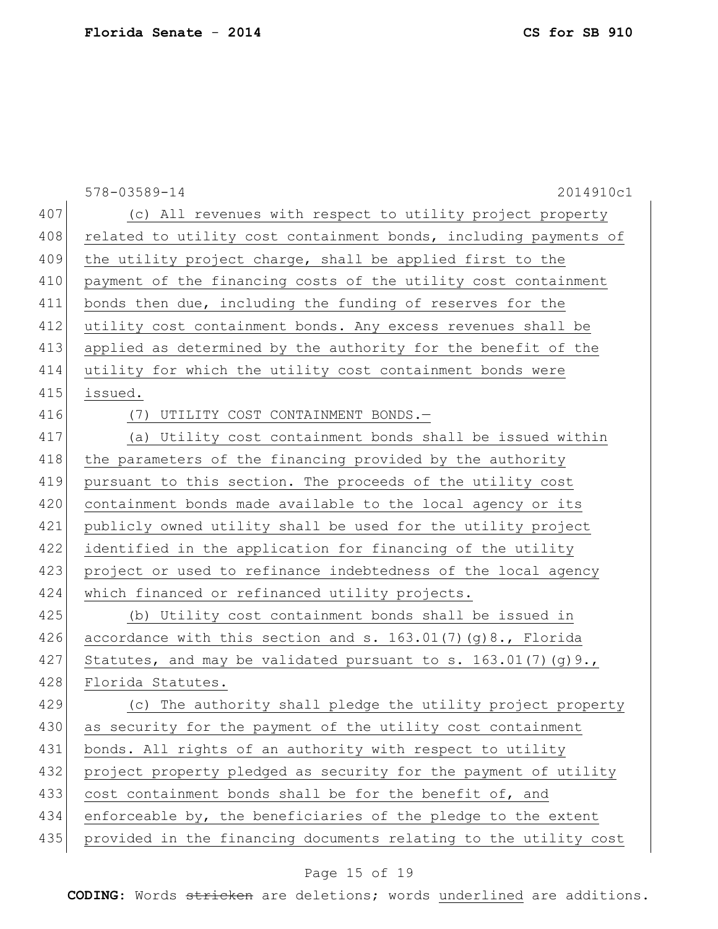578-03589-14 2014910c1 407 (c) All revenues with respect to utility project property 408 related to utility cost containment bonds, including payments of 409 the utility project charge, shall be applied first to the 410 payment of the financing costs of the utility cost containment 411 bonds then due, including the funding of reserves for the 412 utility cost containment bonds. Any excess revenues shall be 413 applied as determined by the authority for the benefit of the 414 utility for which the utility cost containment bonds were 415 issued. 416 (7) UTILITY COST CONTAINMENT BONDS.-417 (a) Utility cost containment bonds shall be issued within 418 the parameters of the financing provided by the authority 419 pursuant to this section. The proceeds of the utility cost 420 containment bonds made available to the local agency or its 421 publicly owned utility shall be used for the utility project 422 identified in the application for financing of the utility 423 project or used to refinance indebtedness of the local agency 424 which financed or refinanced utility projects. 425 (b) Utility cost containment bonds shall be issued in 426 accordance with this section and s.  $163.01(7)(g)8$ ., Florida 427 Statutes, and may be validated pursuant to s. 163.01(7)(q)9., 428 Florida Statutes. 429 (c) The authority shall pledge the utility project property 430 as security for the payment of the utility cost containment 431 bonds. All rights of an authority with respect to utility 432 project property pledged as security for the payment of utility 433 cost containment bonds shall be for the benefit of, and 434 enforceable by, the beneficiaries of the pledge to the extent 435 provided in the financing documents relating to the utility cost

#### Page 15 of 19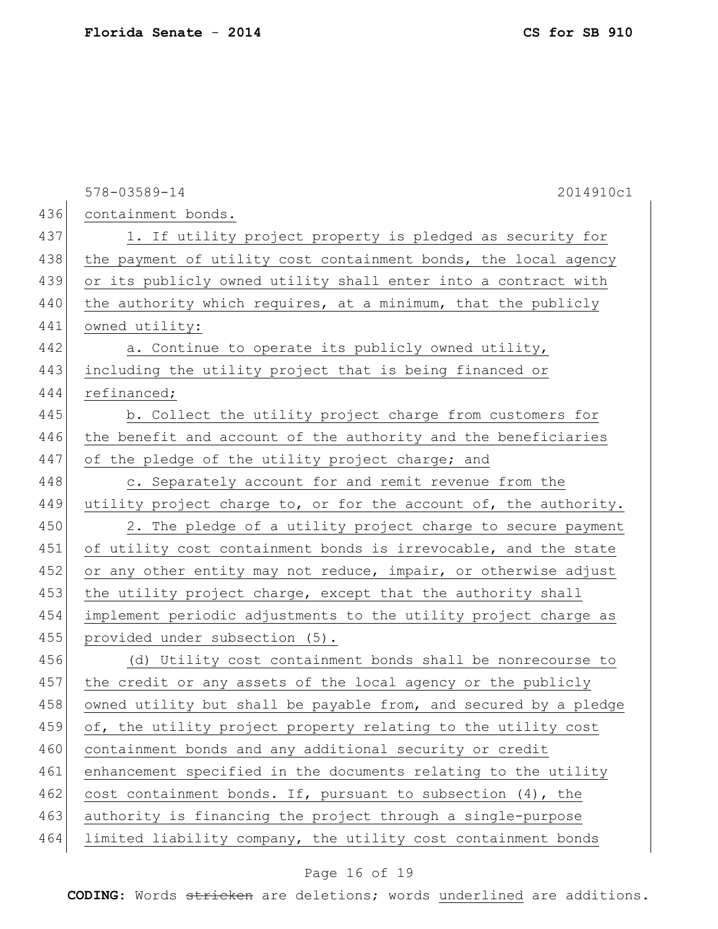578-03589-14 2014910c1 436 containment bonds. 437 1. If utility project property is pledged as security for 438 the payment of utility cost containment bonds, the local agency 439 or its publicly owned utility shall enter into a contract with 440 the authority which requires, at a minimum, that the publicly 441 owned utility: 442 a. Continue to operate its publicly owned utility, 443 including the utility project that is being financed or 444 refinanced; 445 b. Collect the utility project charge from customers for 446 the benefit and account of the authority and the beneficiaries 447 of the pledge of the utility project charge; and 448 c. Separately account for and remit revenue from the 449 utility project charge to, or for the account of, the authority. 450 2. The pledge of a utility project charge to secure payment 451 of utility cost containment bonds is irrevocable, and the state 452 or any other entity may not reduce, impair, or otherwise adjust 453 the utility project charge, except that the authority shall 454 implement periodic adjustments to the utility project charge as 455 provided under subsection (5). 456 (d) Utility cost containment bonds shall be nonrecourse to 457 the credit or any assets of the local agency or the publicly 458 owned utility but shall be payable from, and secured by a pledge 459 of, the utility project property relating to the utility cost 460 containment bonds and any additional security or credit 461 enhancement specified in the documents relating to the utility 462 cost containment bonds. If, pursuant to subsection  $(4)$ , the 463 authority is financing the project through a single-purpose 464 limited liability company, the utility cost containment bonds

#### Page 16 of 19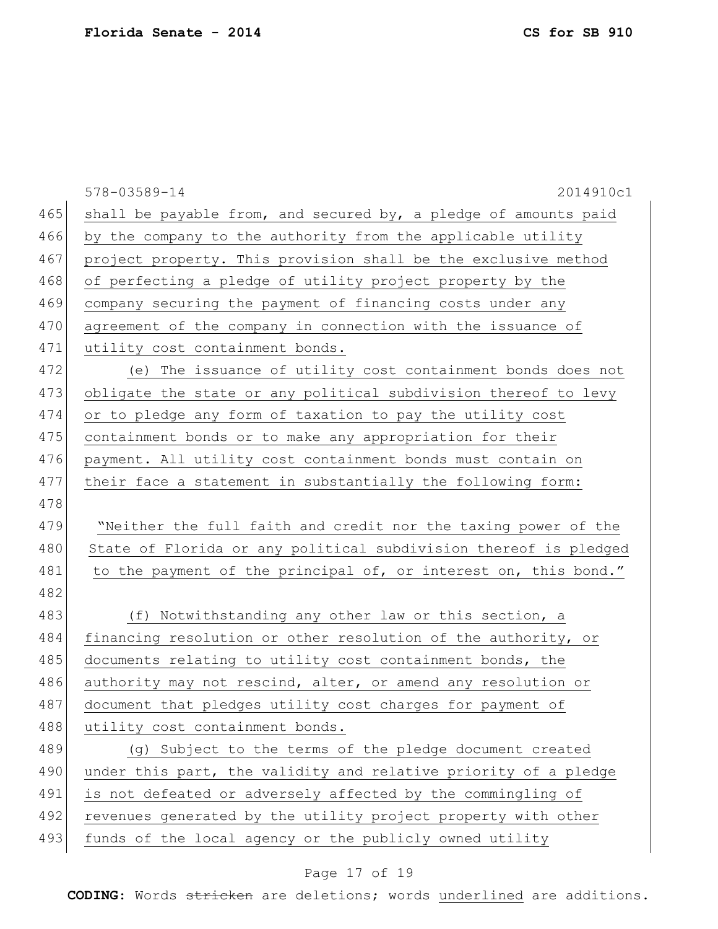|     | 578-03589-14<br>2014910c1                                        |
|-----|------------------------------------------------------------------|
| 465 | shall be payable from, and secured by, a pledge of amounts paid  |
| 466 | by the company to the authority from the applicable utility      |
| 467 | project property. This provision shall be the exclusive method   |
| 468 | of perfecting a pledge of utility project property by the        |
| 469 | company securing the payment of financing costs under any        |
| 470 | agreement of the company in connection with the issuance of      |
| 471 | utility cost containment bonds.                                  |
| 472 | (e) The issuance of utility cost containment bonds does not      |
| 473 | obligate the state or any political subdivision thereof to levy  |
| 474 | or to pledge any form of taxation to pay the utility cost        |
| 475 | containment bonds or to make any appropriation for their         |
| 476 | payment. All utility cost containment bonds must contain on      |
| 477 | their face a statement in substantially the following form:      |
| 478 |                                                                  |
| 479 | "Neither the full faith and credit nor the taxing power of the   |
| 480 | State of Florida or any political subdivision thereof is pledged |
| 481 | to the payment of the principal of, or interest on, this bond."  |
| 482 |                                                                  |
| 483 | (f) Notwithstanding any other law or this section, a             |
| 484 | financing resolution or other resolution of the authority, or    |
| 485 | documents relating to utility cost containment bonds, the        |
| 486 | authority may not rescind, alter, or amend any resolution or     |
| 487 | document that pledges utility cost charges for payment of        |
| 488 | utility cost containment bonds.                                  |
| 489 | (g) Subject to the terms of the pledge document created          |
| 490 | under this part, the validity and relative priority of a pledge  |
| 491 | is not defeated or adversely affected by the commingling of      |
| 492 | revenues generated by the utility project property with other    |
| 493 | funds of the local agency or the publicly owned utility          |
|     |                                                                  |

# Page 17 of 19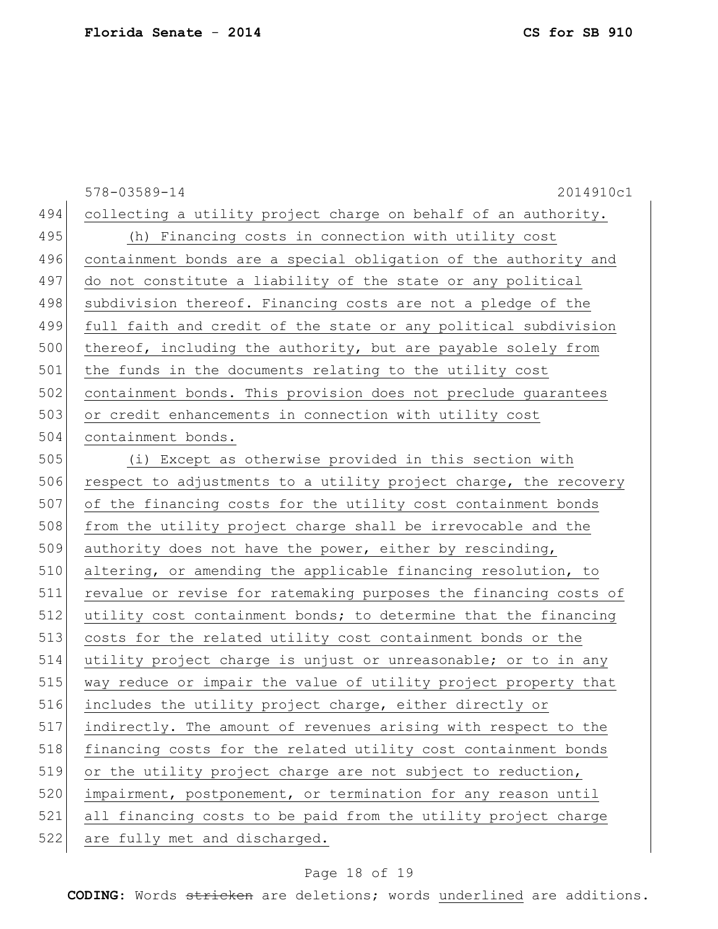578-03589-14 2014910c1 collecting a utility project charge on behalf of an authority. (h) Financing costs in connection with utility cost 496 containment bonds are a special obligation of the authority and do not constitute a liability of the state or any political 498 subdivision thereof. Financing costs are not a pledge of the full faith and credit of the state or any political subdivision 500 thereof, including the authority, but are payable solely from 501 the funds in the documents relating to the utility cost containment bonds. This provision does not preclude guarantees or credit enhancements in connection with utility cost containment bonds. (i) Except as otherwise provided in this section with 506 respect to adjustments to a utility project charge, the recovery of the financing costs for the utility cost containment bonds 508 from the utility project charge shall be irrevocable and the 509 authority does not have the power, either by rescinding, altering, or amending the applicable financing resolution, to revalue or revise for ratemaking purposes the financing costs of utility cost containment bonds; to determine that the financing costs for the related utility cost containment bonds or the utility project charge is unjust or unreasonable; or to in any way reduce or impair the value of utility project property that includes the utility project charge, either directly or indirectly. The amount of revenues arising with respect to the 518 financing costs for the related utility cost containment bonds or the utility project charge are not subject to reduction, 520 impairment, postponement, or termination for any reason until all financing costs to be paid from the utility project charge 522 are fully met and discharged.

#### Page 18 of 19